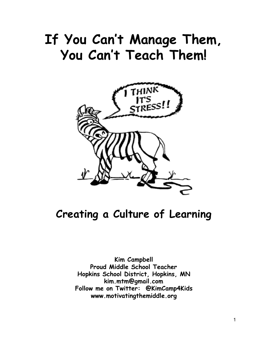# **If You Can't Manage Them, You Can't Teach Them!**



# **Creating a Culture of Learning**

**Kim Campbell Proud Middle School Teacher Hopkins School District, Hopkins, MN kim.mtm@gmail.com Follow me on Twitter: @KimCamp4Kids www.motivatingthemiddle.org**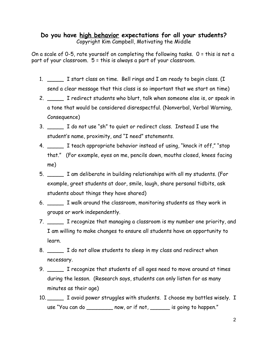#### **Do you have high behavior expectations for all your students?** Copyright Kim Campbell, Motivating the Middle

On a scale of 0-5, rate yourself on completing the following tasks. 0 = this is not a part of your classroom. 5 = this is always a part of your classroom.

- 1. \_\_\_\_\_ I start class on time. Bell rings and I am ready to begin class. (I send a clear message that this class is so important that we start on time)
- 2. \_\_\_\_\_ I redirect students who blurt, talk when someone else is, or speak in a tone that would be considered disrespectful. (Nonverbal, Verbal Warning, Consequence)
- 3. \_\_\_\_\_ I do not use "sh" to quiet or redirect class. Instead I use the student's name, proximity, and "I need" statements.
- 4. \_\_\_\_\_ I teach appropriate behavior instead of using, "knock it off," "stop that." (For example, eyes on me, pencils down, mouths closed, knees facing me)
- 5. \_\_\_\_\_ I am deliberate in building relationships with all my students. (For example, greet students at door, smile, laugh, share personal tidbits, ask students about things they have shared)
- 6. \_\_\_\_\_ I walk around the classroom, monitoring students as they work in groups or work independently.
- 7. \_\_\_\_\_ I recognize that managing a classroom is my number one priority, and I am willing to make changes to ensure all students have an opportunity to learn.
- 8. \_\_\_\_\_ I do not allow students to sleep in my class and redirect when necessary.
- 9. \_\_\_\_\_ I recognize that students of all ages need to move around at times during the lesson. (Research says, students can only listen for as many minutes as their age)
- 10. \_\_\_\_\_ I avoid power struggles with students. I choose my battles wisely. I use "You can do \_\_\_\_\_\_\_\_ now, or if not, \_\_\_\_\_\_ is going to happen."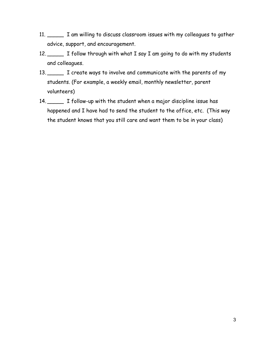- 11. \_\_\_\_\_ I am willing to discuss classroom issues with my colleagues to gather advice, support, and encouragement.
- 12. I follow through with what I say I am going to do with my students and colleagues.
- 13. The create ways to involve and communicate with the parents of my students. (For example, a weekly email, monthly newsletter, parent volunteers)
- 14. \_\_\_\_\_ I follow-up with the student when a major discipline issue has happened and I have had to send the student to the office, etc. (This way the student knows that you still care and want them to be in your class)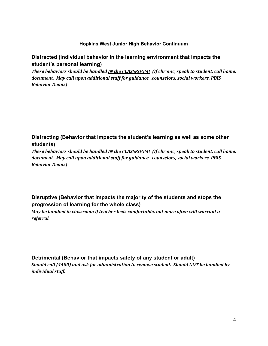#### **Hopkins West Junior High Behavior Continuum**

#### **Distracted (Individual behavior in the learning environment that impacts the student's personal learning)**

*These behaviors should be handled IN the CLASSROOM! (If chronic, speak to student, call home, document. May call upon additional staff for guidance...counselors, social workers, PBIS Behavior Deans)*

#### **Distracting (Behavior that impacts the student's learning as well as some other students)**

*These behaviors should be handled IN the CLASSROOM! (If chronic, speak to student, call home, document. May call upon additional staff for guidance...counselors, social workers, PBIS Behavior Deans)*

#### **Disruptive (Behavior that impacts the majority of the students and stops the progression of learning for the whole class)**

*May be handled in classroom if teacher feels comfortable, but more often will warrant a referral.*

#### **Detrimental (Behavior that impacts safety of any student or adult)**

*Should call (4400) and ask for administration to remove student. Should NOT be handled by individual staff.*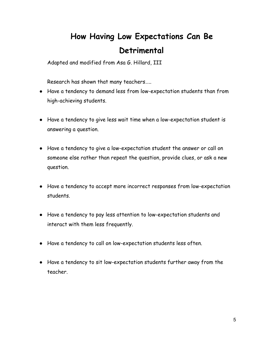# **How Having Low Expectations Can Be Detrimental**

Adapted and modified from Asa G. Hillard, III

Research has shown that many teachers…..

- Have a tendency to demand less from low-expectation students than from high-achieving students.
- Have a tendency to give less wait time when a low-expectation student is answering a question.
- Have a tendency to give a low-expectation student the answer or call on someone else rather than repeat the question, provide clues, or ask a new question.
- Have a tendency to accept more incorrect responses from low-expectation students.
- Have a tendency to pay less attention to low-expectation students and interact with them less frequently.
- Have a tendency to call on low-expectation students less often.
- Have a tendency to sit low-expectation students further away from the teacher.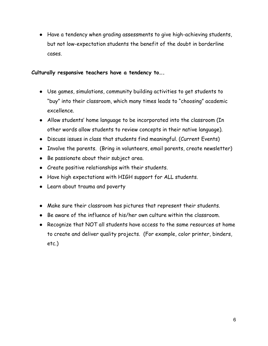● Have a tendency when grading assessments to give high-achieving students, but not low-expectation students the benefit of the doubt in borderline cases.

#### **Culturally responsive teachers have a tendency to….**

- Use games, simulations, community building activities to get students to "buy" into their classroom, which many times leads to "choosing" academic excellence.
- Allow students' home language to be incorporated into the classroom (In other words allow students to review concepts in their native language).
- Discuss issues in class that students find meaningful. (Current Events)
- Involve the parents. (Bring in volunteers, email parents, create newsletter)
- Be passionate about their subject area.
- Create positive relationships with their students.
- Have high expectations with HIGH support for ALL students.
- Learn about trauma and poverty
- Make sure their classroom has pictures that represent their students.
- Be aware of the influence of his/her own culture within the classroom.
- Recognize that NOT all students have access to the same resources at home to create and deliver quality projects. (For example, color printer, binders, etc.)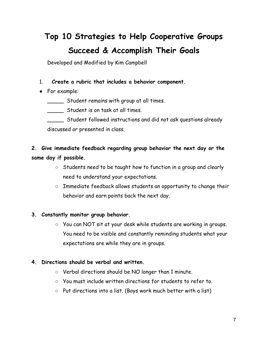# **Top 10 Strategies to Help Cooperative Groups Succeed & Accomplish Their Goals**

Developed and Modified by Kim Campbell

#### 1. **Create a rubric that includes a behavior component.**

● For example:

\_\_\_\_\_ Student remains with group at all times.

\_\_\_\_\_ Student is on task at all times.

\_\_\_\_\_ Student followed instructions and did not ask questions already discussed or presented in class.

### **2. Give immediate feedback regarding group behavior the next day or the same day if possible.**

- Students need to be taught how to function in a group and clearly need to understand your expectations.
- Immediate feedback allows students an opportunity to change their behavior and earn points back the next day.

#### **3. Constantly monitor group behavior.**

○ You can NOT sit at your desk while students are working in groups. You need to be visible and constantly reminding students what your expectations are while they are in groups.

#### **4. Directions should be verbal and written.**

- Verbal directions should be NO longer than 1 minute.
- You must include written directions for students to refer to.
- Put directions into a list. (Boys work much better with a list)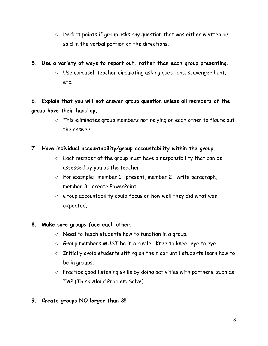○ Deduct points if group asks any question that was either written or said in the verbal portion of the directions.

#### **5. Use a variety of ways to report out, rather than each group presenting.**

○ Use carousel, teacher circulating asking questions, scavenger hunt, etc.

### **6. Explain that you will not answer group question unless all members of the group have their hand up.**

○ This eliminates group members not relying on each other to figure out the answer.

#### **7. Have individual accountability/group accountability within the group.**

- $\circ$  Each member of the group must have a responsibility that can be assessed by you as the teacher.
- For example: member 1: present, member 2: write paragraph, member 3: create PowerPoint
- Group accountability could focus on how well they did what was expected.

#### **8. Make sure groups face each other.**

- Need to teach students how to function in a group.
- Group members MUST be in a circle. Knee to knee...eye to eye.
- Initially avoid students sitting on the floor until students learn how to be in groups.
- Practice good listening skills by doing activities with partners, such as TAP (Think Aloud Problem Solve).

#### **9. Create groups NO larger than 3!!**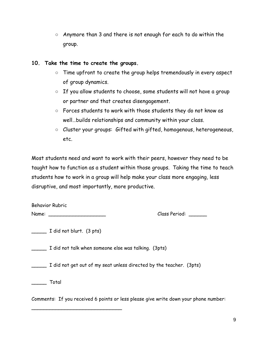○ Anymore than 3 and there is not enough for each to do within the group.

#### **10. Take the time to create the groups.**

- Time upfront to create the group helps tremendously in every aspect of group dynamics.
- If you allow students to choose, some students will not have a group or partner and that creates disengagement.
- Forces students to work with those students they do not know as well…builds relationships and community within your class.
- Cluster your groups: Gifted with gifted, homogenous, heterogeneous, etc.

Most students need and want to work with their peers, however they need to be taught how to function as a student within those groups. Taking the time to teach students how to work in a group will help make your class more engaging, less disruptive, and most importantly, more productive.

| <b>Behavior Rubric</b> |  |
|------------------------|--|
| Name:                  |  |

Class Period: \_\_\_\_\_\_\_

\_\_\_\_\_ I did not blurt. (3 pts)

\_\_\_\_\_\_\_\_\_\_\_\_\_\_\_\_\_\_\_\_\_\_\_\_\_\_\_\_\_\_

\_\_\_\_\_ I did not talk when someone else was talking. (3pts)

\_\_\_\_\_ I did not get out of my seat unless directed by the teacher. (3pts)

\_\_\_\_\_ Total

Comments: If you received 6 points or less please give write down your phone number: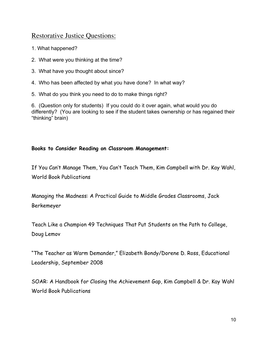### Restorative Justice Questions:

- 1. What happened?
- 2. What were you thinking at the time?
- 3. What have you thought about since?
- 4. Who has been affected by what you have done? In what way?
- 5. What do you think you need to do to make things right?

6. (Question only for students) If you could do it over again, what would you do differently? (You are looking to see if the student takes ownership or has regained their "thinking" brain)

#### **Books to Consider Reading on Classroom Management:**

If You Can't Manage Them, You Can't Teach Them, Kim Campbell with Dr. Kay Wahl, World Book Publications

Managing the Madness: A Practical Guide to Middle Grades Classrooms, Jack Berkemeyer

Teach Like a Champion 49 Techniques That Put Students on the Path to College, Doug Lemov

"The Teacher as Warm Demander," Elizabeth Bondy/Dorene D. Ross, Educational Leadership, September 2008

SOAR: A Handbook for Closing the Achievement Gap, Kim Campbell & Dr. Kay Wahl World Book Publications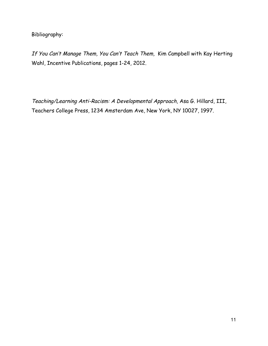Bibliography:

If You Can't Manage Them, You Can't Teach Them, Kim Campbell with Kay Herting Wahl, Incentive Publications, pages 1-24, 2012.

Teaching/Learning Anti-Racism: A Developmental Approach, Asa G. Hillard, III, Teachers College Press, 1234 Amsterdam Ave, New York, NY 10027, 1997.